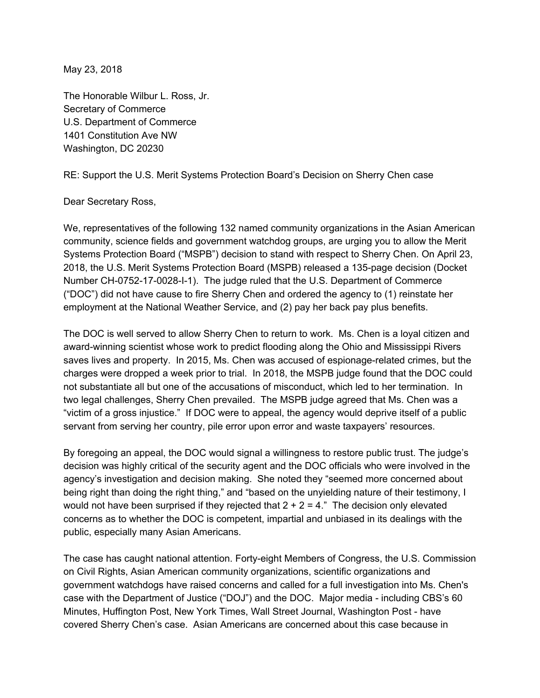May 23, 2018

The Honorable Wilbur L. Ross, Jr. Secretary of Commerce U.S. Department of Commerce 1401 Constitution Ave NW Washington, DC 20230

RE: Support the U.S. Merit Systems Protection Board's Decision on Sherry Chen case

## Dear Secretary Ross,

We, representatives of the following 132 named community organizations in the Asian American community, science fields and government watchdog groups, are urging you to allow the Merit Systems Protection Board ("MSPB") decision to stand with respect to Sherry Chen. On April 23, 2018, the U.S. Merit Systems Protection Board (MSPB) released a 135-page decision (Docket Number CH-0752-17-0028-I-1). The judge ruled that the U.S. Department of Commerce ("DOC") did not have cause to fire Sherry Chen and ordered the agency to (1) reinstate her employment at the National Weather Service, and (2) pay her back pay plus benefits.

The DOC is well served to allow Sherry Chen to return to work. Ms. Chen is a loyal citizen and award-winning scientist whose work to predict flooding along the Ohio and Mississippi Rivers saves lives and property. In 2015, Ms. Chen was accused of espionage-related crimes, but the charges were dropped a week prior to trial. In 2018, the MSPB judge found that the DOC could not substantiate all but one of the accusations of misconduct, which led to her termination. In two legal challenges, Sherry Chen prevailed. The MSPB judge agreed that Ms. Chen was a "victim of a gross injustice." If DOC were to appeal, the agency would deprive itself of a public servant from serving her country, pile error upon error and waste taxpayers' resources.

By foregoing an appeal, the DOC would signal a willingness to restore public trust. The judge's decision was highly critical of the security agent and the DOC officials who were involved in the agency's investigation and decision making. She noted they "seemed more concerned about being right than doing the right thing," and "based on the unyielding nature of their testimony, I would not have been surprised if they rejected that  $2 + 2 = 4$ ." The decision only elevated concerns as to whether the DOC is competent, impartial and unbiased in its dealings with the public, especially many Asian Americans.

The case has caught national attention. Forty-eight Members of Congress, the U.S. Commission on Civil Rights, Asian American community organizations, scientific organizations and government watchdogs have raised concerns and called for a full investigation into Ms. Chen's case with the Department of Justice ("DOJ") and the DOC. Major media - including CBS's 60 Minutes, Huffington Post, New York Times, Wall Street Journal, Washington Post - have covered Sherry Chen's case. Asian Americans are concerned about this case because in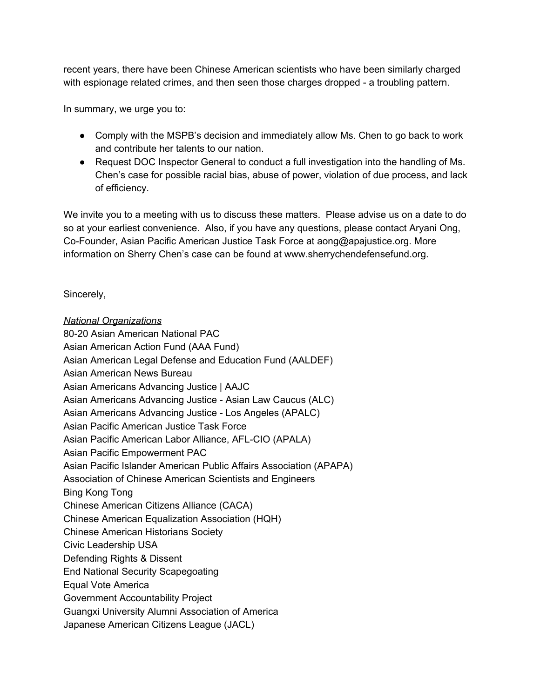recent years, there have been Chinese American scientists who have been similarly charged with espionage related crimes, and then seen those charges dropped - a troubling pattern.

In summary, we urge you to:

- Comply with the MSPB's decision and immediately allow Ms. Chen to go back to work and contribute her talents to our nation.
- Request DOC Inspector General to conduct a full investigation into the handling of Ms. Chen's case for possible racial bias, abuse of power, violation of due process, and lack of efficiency.

We invite you to a meeting with us to discuss these matters. Please advise us on a date to do so at your earliest convenience. Also, if you have any questions, please contact Aryani Ong, Co-Founder, Asian Pacific American Justice Task Force at aong@apajustice.org. More information on Sherry Chen's case can be found at www.sherrychendefensefund.org.

Sincerely,

*National Organizations* 80-20 Asian American National PAC Asian American Action Fund (AAA Fund) Asian American Legal Defense and Education Fund (AALDEF) Asian American News Bureau Asian Americans Advancing Justice | AAJC Asian Americans Advancing Justice - Asian Law Caucus (ALC) Asian Americans Advancing Justice - Los Angeles (APALC) Asian Pacific American Justice Task Force Asian Pacific American Labor Alliance, AFL-CIO (APALA) Asian Pacific Empowerment PAC Asian Pacific Islander American Public Affairs Association (APAPA) Association of Chinese American Scientists and Engineers Bing Kong Tong Chinese American Citizens Alliance (CACA) Chinese American Equalization Association (HQH) Chinese American Historians Society Civic Leadership USA Defending Rights & Dissent End National Security Scapegoating Equal Vote America Government Accountability Project Guangxi University Alumni Association of America Japanese American Citizens League (JACL)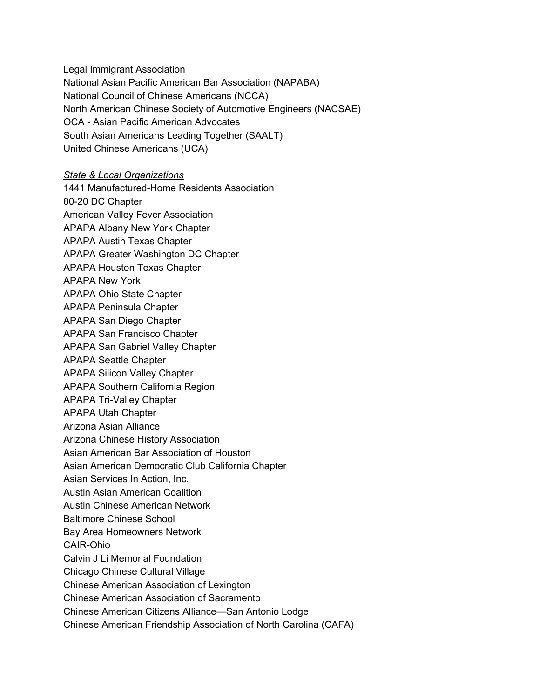Legal Immigrant Association National Asian Pacific American Bar Association (NAPABA) National Council of Chinese Americans (NCCA) North American Chinese Society of Automotive Engineers (NACSAE) OCA - Asian Pacific American Advocates South Asian Americans Leading Together (SAALT) United Chinese Americans (UCA)

## *State & Local Organizations*

1441 Manufactured-Home Residents Association 80-20 DC Chapter American Valley Fever Association APAPA Albany New York Chapter APAPA Austin Texas Chapter APAPA Greater Washington DC Chapter APAPA Houston Texas Chapter APAPA New York APAPA Ohio State Chapter APAPA Peninsula Chapter APAPA San Diego Chapter APAPA San Francisco Chapter APAPA San Gabriel Valley Chapter APAPA Seattle Chapter APAPA Silicon Valley Chapter APAPA Southern California Region APAPA Tri-Valley Chapter APAPA Utah Chapter Arizona Asian Alliance Arizona Chinese History Association Asian American Bar Association of Houston Asian American Democratic Club California Chapter Asian Services In Action, Inc. Austin Asian American Coalition Austin Chinese American Network Baltimore Chinese School Bay Area Homeowners Network CAIR-Ohio Calvin J Li Memorial Foundation Chicago Chinese Cultural Village Chinese American Association of Lexington Chinese American Association of Sacramento

Chinese American Citizens Alliance—San Antonio Lodge

Chinese American Friendship Association of North Carolina (CAFA)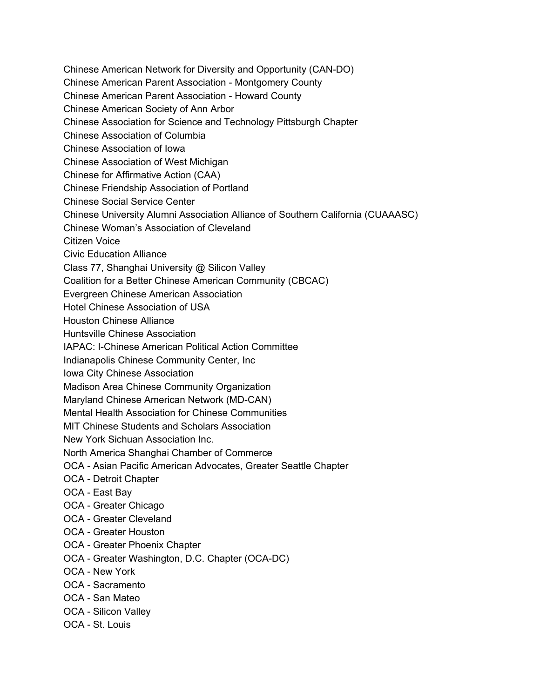Chinese American Network for Diversity and Opportunity (CAN-DO) Chinese American Parent Association - Montgomery County Chinese American Parent Association - Howard County Chinese American Society of Ann Arbor Chinese Association for Science and Technology Pittsburgh Chapter Chinese Association of Columbia Chinese Association of Iowa Chinese Association of West Michigan Chinese for Affirmative Action (CAA) Chinese Friendship Association of Portland Chinese Social Service Center Chinese University Alumni Association Alliance of Southern California (CUAAASC) Chinese Woman's Association of Cleveland Citizen Voice Civic Education Alliance Class 77, Shanghai University @ Silicon Valley Coalition for a Better Chinese American Community (CBCAC) Evergreen Chinese American Association Hotel Chinese Association of USA Houston Chinese Alliance Huntsville Chinese Association IAPAC: I-Chinese American Political Action Committee Indianapolis Chinese Community Center, Inc Iowa City Chinese Association Madison Area Chinese Community Organization Maryland Chinese American Network (MD-CAN) Mental Health Association for Chinese Communities MIT Chinese Students and Scholars Association New York Sichuan Association Inc. North America Shanghai Chamber of Commerce OCA - Asian Pacific American Advocates, Greater Seattle Chapter OCA - Detroit Chapter OCA - East Bay OCA - Greater Chicago OCA - Greater Cleveland OCA - Greater Houston OCA - Greater Phoenix Chapter OCA - Greater Washington, D.C. Chapter (OCA-DC) OCA - New York

- OCA Sacramento
- OCA San Mateo
- OCA Silicon Valley
- OCA St. Louis